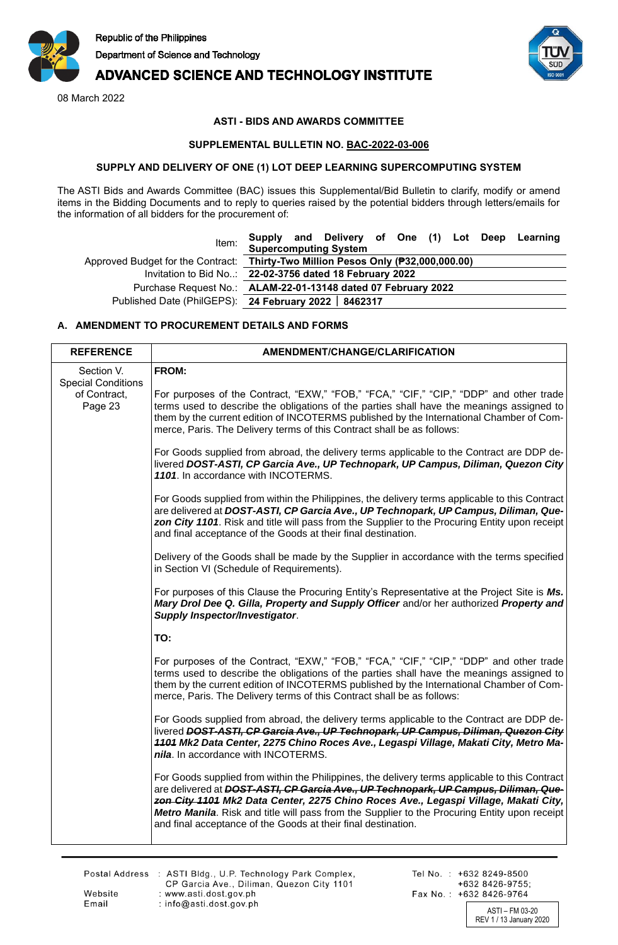

# **ADVANCED SCIENCE AND TECHNOLOGY INSTITUTE**

08 March 2022



## **ASTI - BIDS AND AWARDS COMMITTEE**

#### **SUPPLEMENTAL BULLETIN NO. BAC-2022-03-006**

#### **SUPPLY AND DELIVERY OF ONE (1) LOT DEEP LEARNING SUPERCOMPUTING SYSTEM**

The ASTI Bids and Awards Committee (BAC) issues this Supplemental/Bid Bulletin to clarify, modify or amend items in the Bidding Documents and to reply to queries raised by the potential bidders through letters/emails for the information of all bidders for the procurement of:

| Invitation to Bid No: 22-02-3756 dated 18 February 2022       |  |  |  |                                                                                       |  |                                                                                  |                                                  |
|---------------------------------------------------------------|--|--|--|---------------------------------------------------------------------------------------|--|----------------------------------------------------------------------------------|--------------------------------------------------|
| Purchase Request No.: ALAM-22-01-13148 dated 07 February 2022 |  |  |  |                                                                                       |  |                                                                                  |                                                  |
|                                                               |  |  |  |                                                                                       |  |                                                                                  |                                                  |
|                                                               |  |  |  | <b>Supercomputing System</b><br>Published Date (PhilGEPS): 24 February 2022   8462317 |  | Approved Budget for the Contract: Thirty-Two Million Pesos Only (P32,000,000.00) | Supply and Delivery of One (1) Lot Deep Learning |

### **A. AMENDMENT TO PROCUREMENT DETAILS AND FORMS**

| <b>REFERENCE</b>                                                   | AMENDMENT/CHANGE/CLARIFICATION                                                                                                                                                                                                                                                                                                                                                                                                                 |
|--------------------------------------------------------------------|------------------------------------------------------------------------------------------------------------------------------------------------------------------------------------------------------------------------------------------------------------------------------------------------------------------------------------------------------------------------------------------------------------------------------------------------|
| Section V.<br><b>Special Conditions</b><br>of Contract,<br>Page 23 | FROM:<br>For purposes of the Contract, "EXW," "FOB," "FCA," "CIF," "CIP," "DDP" and other trade<br>terms used to describe the obligations of the parties shall have the meanings assigned to<br>them by the current edition of INCOTERMS published by the International Chamber of Com-<br>merce, Paris. The Delivery terms of this Contract shall be as follows:                                                                              |
|                                                                    | For Goods supplied from abroad, the delivery terms applicable to the Contract are DDP de-<br>livered DOST-ASTI, CP Garcia Ave., UP Technopark, UP Campus, Diliman, Quezon City<br>1101. In accordance with INCOTERMS.                                                                                                                                                                                                                          |
|                                                                    | For Goods supplied from within the Philippines, the delivery terms applicable to this Contract<br>are delivered at DOST-ASTI, CP Garcia Ave., UP Technopark, UP Campus, Diliman, Que-<br>zon City 1101. Risk and title will pass from the Supplier to the Procuring Entity upon receipt<br>and final acceptance of the Goods at their final destination.                                                                                       |
|                                                                    | Delivery of the Goods shall be made by the Supplier in accordance with the terms specified<br>in Section VI (Schedule of Requirements).                                                                                                                                                                                                                                                                                                        |
|                                                                    | For purposes of this Clause the Procuring Entity's Representative at the Project Site is Ms.<br>Mary Drol Dee Q. Gilla, Property and Supply Officer and/or her authorized Property and<br><b>Supply Inspector/Investigator.</b>                                                                                                                                                                                                                |
|                                                                    | TO:                                                                                                                                                                                                                                                                                                                                                                                                                                            |
|                                                                    | For purposes of the Contract, "EXW," "FOB," "FCA," "CIF," "CIP," "DDP" and other trade<br>terms used to describe the obligations of the parties shall have the meanings assigned to<br>them by the current edition of INCOTERMS published by the International Chamber of Com-<br>merce, Paris. The Delivery terms of this Contract shall be as follows:                                                                                       |
|                                                                    | For Goods supplied from abroad, the delivery terms applicable to the Contract are DDP de-<br>livered DOST-ASTI, CP Garcia Ave., UP Technopark, UP Campus, Diliman, Quezon City<br>4404 Mk2 Data Center, 2275 Chino Roces Ave., Legaspi Village, Makati City, Metro Ma-<br>nila. In accordance with INCOTERMS.                                                                                                                                  |
|                                                                    | For Goods supplied from within the Philippines, the delivery terms applicable to this Contract<br>are delivered at DOST-ASTI, CP Garcia Ave., UP Technopark, UP Campus, Diliman, Que-<br>zon City 1101 Mk2 Data Center, 2275 Chino Roces Ave., Legaspi Village, Makati City,<br>Metro Manila. Risk and title will pass from the Supplier to the Procuring Entity upon receipt<br>and final acceptance of the Goods at their final destination. |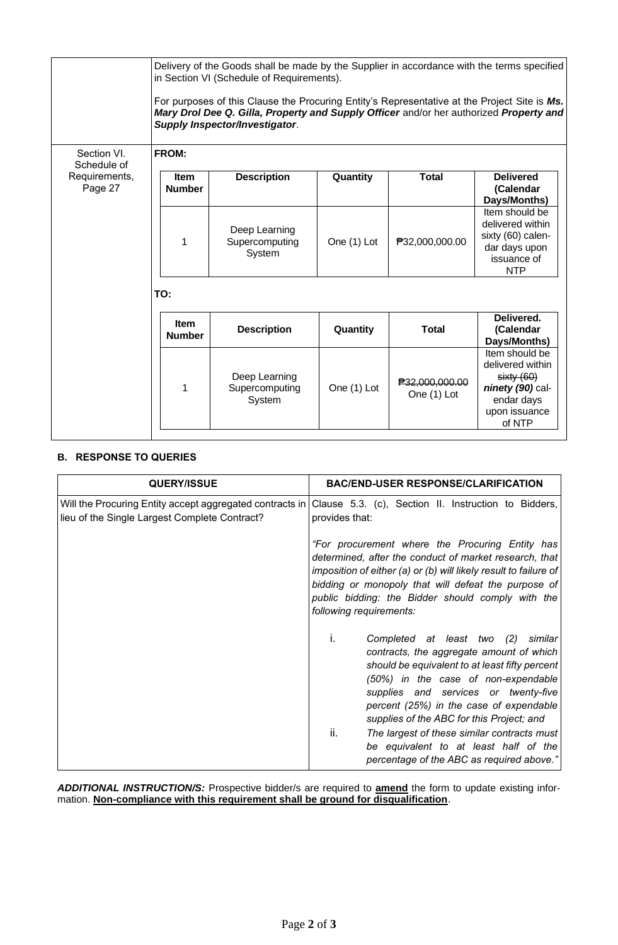|                                         |                              | Delivery of the Goods shall be made by the Supplier in accordance with the terms specified<br>in Section VI (Schedule of Requirements).<br>For purposes of this Clause the Procuring Entity's Representative at the Project Site is Ms.<br>Mary Drol Dee Q. Gilla, Property and Supply Officer and/or her authorized Property and<br><b>Supply Inspector/Investigator.</b> |             |                               |                                                                                                              |
|-----------------------------------------|------------------------------|----------------------------------------------------------------------------------------------------------------------------------------------------------------------------------------------------------------------------------------------------------------------------------------------------------------------------------------------------------------------------|-------------|-------------------------------|--------------------------------------------------------------------------------------------------------------|
| Section VI.                             | FROM:                        |                                                                                                                                                                                                                                                                                                                                                                            |             |                               |                                                                                                              |
| Schedule of<br>Requirements,<br>Page 27 | <b>Item</b><br><b>Number</b> | <b>Description</b>                                                                                                                                                                                                                                                                                                                                                         | Quantity    | <b>Total</b>                  | <b>Delivered</b><br>(Calendar<br>Days/Months)                                                                |
|                                         | 1                            | Deep Learning<br>Supercomputing<br>System                                                                                                                                                                                                                                                                                                                                  | One (1) Lot | ₱32,000,000.00                | Item should be<br>delivered within<br>sixty (60) calen-<br>dar days upon<br>issuance of<br><b>NTP</b>        |
|                                         | TO:                          |                                                                                                                                                                                                                                                                                                                                                                            |             |                               |                                                                                                              |
|                                         | Item<br><b>Number</b>        | <b>Description</b>                                                                                                                                                                                                                                                                                                                                                         | Quantity    | Total                         | Delivered.<br>(Calendar<br>Days/Months)                                                                      |
|                                         |                              | Deep Learning<br>Supercomputing<br>System                                                                                                                                                                                                                                                                                                                                  | One (1) Lot | ₱32,000,000.00<br>One (1) Lot | Item should be<br>delivered within<br>sixty(60)<br>ninety (90) cal-<br>endar days<br>upon issuance<br>of NTP |

# **B. RESPONSE TO QUERIES**

| <b>QUERY/ISSUE</b>                                                                                        | <b>BAC/END-USER RESPONSE/CLARIFICATION</b>                                                                                                                                                                                                                                                                                 |
|-----------------------------------------------------------------------------------------------------------|----------------------------------------------------------------------------------------------------------------------------------------------------------------------------------------------------------------------------------------------------------------------------------------------------------------------------|
| Will the Procuring Entity accept aggregated contracts in<br>lieu of the Single Largest Complete Contract? | Clause 5.3. (c), Section II. Instruction to Bidders,<br>provides that:                                                                                                                                                                                                                                                     |
|                                                                                                           | "For procurement where the Procuring Entity has<br>determined, after the conduct of market research, that<br>imposition of either (a) or (b) will likely result to failure of<br>bidding or monopoly that will defeat the purpose of<br>public bidding: the Bidder should comply with the<br>following requirements:       |
|                                                                                                           | Completed at least two (2)<br>similar<br>$\mathbf{L}$<br>contracts, the aggregate amount of which<br>should be equivalent to at least fifty percent<br>(50%) in the case of non-expendable<br>supplies and services or twenty-five<br>percent (25%) in the case of expendable<br>supplies of the ABC for this Project; and |
|                                                                                                           | ii.<br>The largest of these similar contracts must<br>be equivalent to at least half of the<br>percentage of the ABC as required above."                                                                                                                                                                                   |

*ADDITIONAL INSTRUCTION/S:* Prospective bidder/s are required to **amend** the form to update existing information. **Non-compliance with this requirement shall be ground for disqualification**.